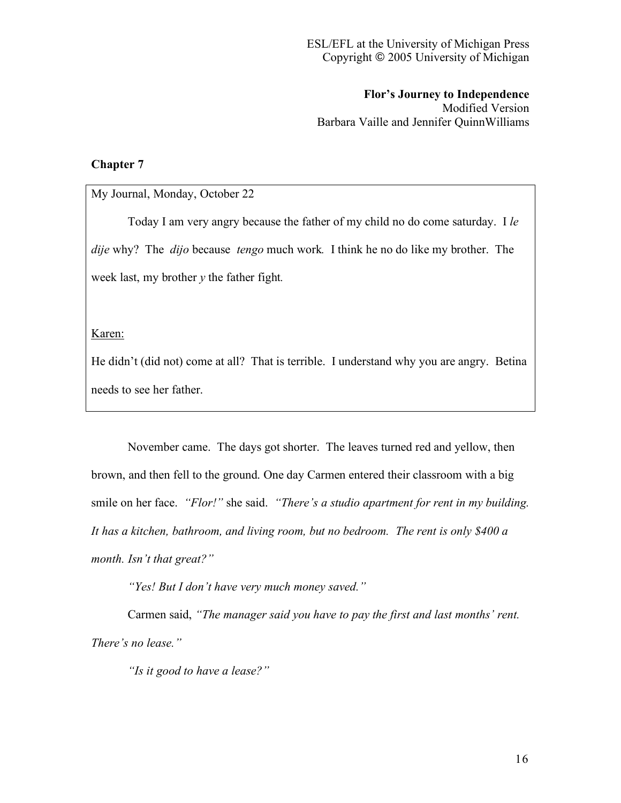**Flor's Journey to Independence** Modified Version Barbara Vaille and Jennifer QuinnWilliams

## **Chapter 7**

## My Journal, Monday, October 22

Today I am very angry because the father of my child no do come saturday. I *le dije* why? The *dijo* because *tengo* much work*.* I think he no do like my brother. The week last, my brother *y* the father fight*.*

Karen:

He didn't (did not) come at all? That is terrible. I understand why you are angry. Betina needs to see her father.

November came. The days got shorter. The leaves turned red and yellow, then brown, and then fell to the ground. One day Carmen entered their classroom with a big smile on her face. *"Flor!"* she said. *"There's a studio apartment for rent in my building. It has a kitchen, bathroom, and living room, but no bedroom. The rent is only \$400 a month. Isn't that great?"*

*"Yes! But I don't have very much money saved."*

Carmen said, *"The manager said you have to pay the first and last months' rent. There's no lease."*

*"Is it good to have a lease?"*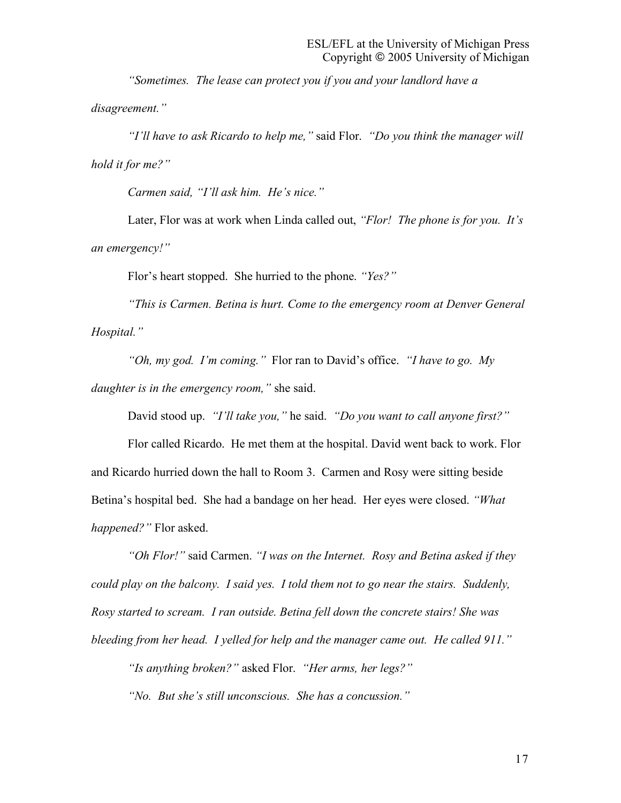*"Sometimes. The lease can protect you if you and your landlord have a disagreement."*

*"I'll have to ask Ricardo to help me,"* said Flor. *"Do you think the manager will hold it for me?"*

*Carmen said, "I'll ask him. He's nice."*

Later, Flor was at work when Linda called out, *"Flor! The phone is for you. It's an emergency!"*

Flor's heart stopped. She hurried to the phone. *"Yes?"*

*"This is Carmen. Betina is hurt. Come to the emergency room at Denver General Hospital."*

*"Oh, my god. I'm coming."* Flor ran to David's office. *"I have to go. My daughter is in the emergency room,"* she said.

David stood up. *"I'll take you,"* he said. *"Do you want to call anyone first?"*

Flor called Ricardo. He met them at the hospital. David went back to work. Flor and Ricardo hurried down the hall to Room 3. Carmen and Rosy were sitting beside Betina's hospital bed. She had a bandage on her head. Her eyes were closed. *"What happened?"* Flor asked.

*"Oh Flor!"* said Carmen. *"I was on the Internet. Rosy and Betina asked if they could play on the balcony. I said yes. I told them not to go near the stairs. Suddenly, Rosy started to scream. I ran outside. Betina fell down the concrete stairs! She was bleeding from her head. I yelled for help and the manager came out. He called 911."*

*"Is anything broken?"* asked Flor. *"Her arms, her legs?"*

*"No. But she's still unconscious. She has a concussion."*

17